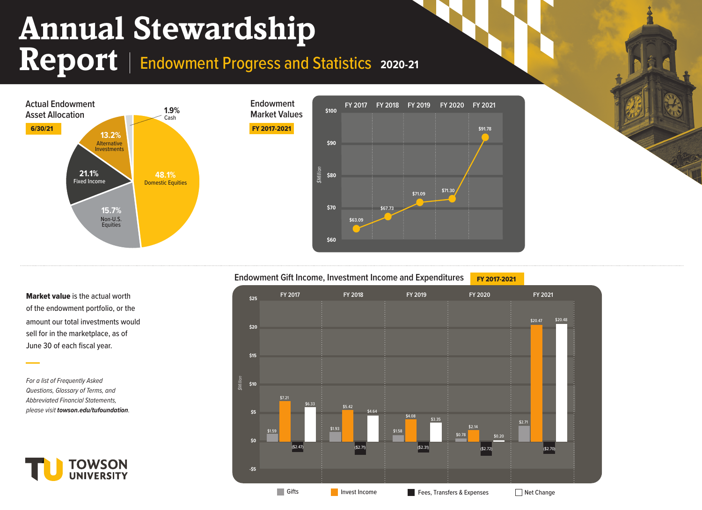## **Annual Stewardship**

Report | Endowment Progress and Statistics 2020-21



## **Endowment Gift Income, Investment Income and Expenditures FY 2017-2021**



Market value is the actual worth of the endowment portfolio, or the sell for in the marketplace, as of June 30 of each fiscal year.

*For a list of Frequently Asked Questions, Glossary of Terms, and Abbreviated Financial Statements, please visit [towson.edu/tufoundation](https://towson.edu/tufoundation).*